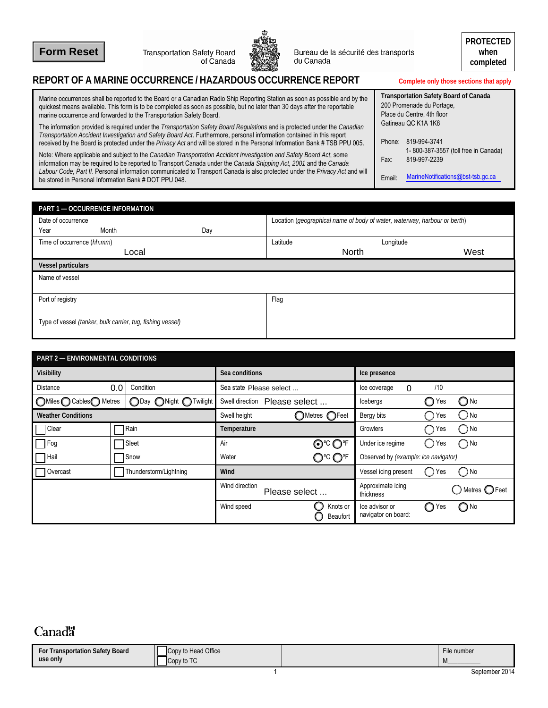**Form Reset**

Transportation Safety Board<br>of Canada



Bureau de la sécurité des transports<br>du Canada

## **REPORT OF A MARINE OCCURRENCE / HAZARDOUS OCCURRENCE REPORT Complete only those sections that apply**

| Marine occurrences shall be reported to the Board or a Canadian Radio Ship Reporting Station as soon as possible and by the<br>quickest means available. This form is to be completed as soon as possible, but no later than 30 days after the reportable<br>marine occurrence and forwarded to the Transportation Safety Board.                                                    |        | <b>Transportation Safety Board of Canada</b><br>200 Promenade du Portage,<br>Place du Centre, 4th floor |  |  |
|-------------------------------------------------------------------------------------------------------------------------------------------------------------------------------------------------------------------------------------------------------------------------------------------------------------------------------------------------------------------------------------|--------|---------------------------------------------------------------------------------------------------------|--|--|
| The information provided is required under the Transportation Safety Board Regulations and is protected under the Canadian<br>Transportation Accident Investigation and Safety Board Act. Furthermore, personal information contained in this report<br>received by the Board is protected under the Privacy Act and will be stored in the Personal Information Bank # TSB PPU 005. |        | Gatineau QC K1A 1K8<br>Phone: 819-994-3741                                                              |  |  |
| Note: Where applicable and subject to the Canadian Transportation Accident Investigation and Safety Board Act, some<br>information may be required to be reported to Transport Canada under the Canada Shipping Act, 2001 and the Canada                                                                                                                                            | Fax:   | 1-800-387-3557 (toll free in Canada)<br>819-997-2239                                                    |  |  |
| Labour Code, Part II. Personal information communicated to Transport Canada is also protected under the Privacy Act and will<br>be stored in Personal Information Bank # DOT PPU 048.                                                                                                                                                                                               | Email: | MarineNotifications@bst-tsb.gc.ca                                                                       |  |  |

| <b>PART 1 - OCCURRENCE INFORMATION</b>                     |       |     |          |                                                                           |      |  |
|------------------------------------------------------------|-------|-----|----------|---------------------------------------------------------------------------|------|--|
| Date of occurrence                                         |       |     |          | Location (geographical name of body of water, waterway, harbour or berth) |      |  |
| Year                                                       | Month | Day |          |                                                                           |      |  |
| Time of occurrence (hh:mm)                                 |       |     | Latitude | Longitude                                                                 |      |  |
|                                                            | Local |     |          | North                                                                     | West |  |
| <b>Vessel particulars</b>                                  |       |     |          |                                                                           |      |  |
| Name of vessel                                             |       |     |          |                                                                           |      |  |
| Port of registry                                           |       |     | Flag     |                                                                           |      |  |
| Type of vessel (tanker, bulk carrier, tug, fishing vessel) |       |     |          |                                                                           |      |  |

|                           | <b>PART 2 - ENVIRONMENTAL CONDITIONS</b> |                        |                         |  |                                      |                                       |                                                      |                            |  |
|---------------------------|------------------------------------------|------------------------|-------------------------|--|--------------------------------------|---------------------------------------|------------------------------------------------------|----------------------------|--|
| <b>Visibility</b>         |                                          |                        | Sea conditions          |  |                                      | Ice presence                          |                                                      |                            |  |
| Distance                  | 0.0                                      | Condition              | Sea state Please select |  |                                      | Ice coverage<br>$\Omega$              | /10                                                  |                            |  |
| ◯Miles ◯ Cables◯ Metres   |                                          | ○Day ○Night ○Twilight  | Swell direction         |  | Please select                        | Icebergs                              | O<br>Yes                                             | $\bigcirc$ No              |  |
| <b>Weather Conditions</b> |                                          |                        | Swell height            |  | ○Metres ○Feet                        | Bergy bits                            | Yes<br>$\Box$                                        | ) No                       |  |
| Clear                     |                                          | Rain                   | Temperature             |  |                                      | <b>Growlers</b>                       | Yes<br>$\left( \begin{array}{c} \end{array} \right)$ | ) No                       |  |
| $\Box$ Fog                |                                          | Sleet                  | Air                     |  | ⊙℃OF                                 | Under ice regime                      | Yes<br>〔 〕                                           | $\bigcap$ No               |  |
| <b>Hail</b>               | Snow                                     |                        | ℺ℭ℺℄<br>Water           |  | Observed by (example: ice navigator) |                                       |                                                      |                            |  |
| Overcast                  |                                          | Thunderstorm/Lightning | Wind                    |  |                                      | Vessel icing present                  | Yes<br>( )                                           | ) No                       |  |
|                           |                                          |                        | Wind direction          |  | Please select                        | Approximate icing<br>thickness        |                                                      | $)$ Metres $\bigcirc$ Feet |  |
|                           |                                          |                        | Wind speed              |  | Knots or<br>Beaufort                 | Ice advisor or<br>navigator on board: | O<br>Yes                                             | $\bigcirc$ No              |  |

## Canada<sup>r</sup>

| Transportation Safety Board<br>For | Copy to Head Office                  | File number |
|------------------------------------|--------------------------------------|-------------|
| use only                           | $T^{\prime}$<br>$\sim$<br>Copy to TC | <b>IVI</b>  |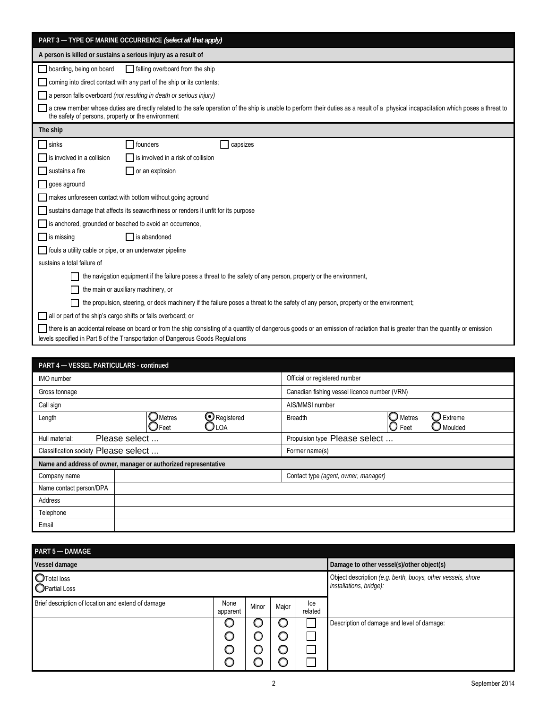| PART 3 - TYPE OF MARINE OCCURRENCE (select all that apply)                                                                                                                                                                                                          |  |  |  |  |  |  |  |
|---------------------------------------------------------------------------------------------------------------------------------------------------------------------------------------------------------------------------------------------------------------------|--|--|--|--|--|--|--|
| A person is killed or sustains a serious injury as a result of                                                                                                                                                                                                      |  |  |  |  |  |  |  |
| boarding, being on board<br>falling overboard from the ship                                                                                                                                                                                                         |  |  |  |  |  |  |  |
| coming into direct contact with any part of the ship or its contents;                                                                                                                                                                                               |  |  |  |  |  |  |  |
| a person falls overboard (not resulting in death or serious injury)                                                                                                                                                                                                 |  |  |  |  |  |  |  |
| a crew member whose duties are directly related to the safe operation of the ship is unable to perform their duties as a result of a physical incapacitation which poses a threat to<br>the safety of persons, property or the environment                          |  |  |  |  |  |  |  |
| The ship                                                                                                                                                                                                                                                            |  |  |  |  |  |  |  |
| sinks<br>founders<br>capsizes                                                                                                                                                                                                                                       |  |  |  |  |  |  |  |
| is involved in a collision<br>is involved in a risk of collision                                                                                                                                                                                                    |  |  |  |  |  |  |  |
| sustains a fire<br>or an explosion                                                                                                                                                                                                                                  |  |  |  |  |  |  |  |
| goes aground                                                                                                                                                                                                                                                        |  |  |  |  |  |  |  |
| makes unforeseen contact with bottom without going aground                                                                                                                                                                                                          |  |  |  |  |  |  |  |
| sustains damage that affects its seaworthiness or renders it unfit for its purpose                                                                                                                                                                                  |  |  |  |  |  |  |  |
| is anchored, grounded or beached to avoid an occurrence,                                                                                                                                                                                                            |  |  |  |  |  |  |  |
| $\Box$ is abandoned<br>$\Box$ is missing                                                                                                                                                                                                                            |  |  |  |  |  |  |  |
| fouls a utility cable or pipe, or an underwater pipeline                                                                                                                                                                                                            |  |  |  |  |  |  |  |
| sustains a total failure of                                                                                                                                                                                                                                         |  |  |  |  |  |  |  |
| the navigation equipment if the failure poses a threat to the safety of any person, property or the environment,                                                                                                                                                    |  |  |  |  |  |  |  |
| the main or auxiliary machinery, or                                                                                                                                                                                                                                 |  |  |  |  |  |  |  |
| the propulsion, steering, or deck machinery if the failure poses a threat to the safety of any person, property or the environment;                                                                                                                                 |  |  |  |  |  |  |  |
| all or part of the ship's cargo shifts or falls overboard; or                                                                                                                                                                                                       |  |  |  |  |  |  |  |
| □ there is an accidental release on board or from the ship consisting of a quantity of dangerous goods or an emission of radiation that is greater than the quantity or emission<br>levels specified in Part 8 of the Transportation of Dangerous Goods Regulations |  |  |  |  |  |  |  |

| <b>PART 4 - VESSEL PARTICULARS - continued</b>                                      |                                                                                             |  |  |  |  |
|-------------------------------------------------------------------------------------|---------------------------------------------------------------------------------------------|--|--|--|--|
| <b>IMO</b> number                                                                   | Official or registered number                                                               |  |  |  |  |
| Gross tonnage                                                                       | Canadian fishing vessel licence number (VRN)                                                |  |  |  |  |
| Call sign                                                                           | AIS/MMSI number                                                                             |  |  |  |  |
| $\bigcirc$ Registered<br>$\mathcal I$ Metres<br>Length<br>$\mathcal I$ Feet<br>JLOA | $\Box$ Extreme<br>$\bigcirc$ Metres<br><b>Breadth</b><br>$\bm{\mathcal{Y}}$ Moulded<br>Feet |  |  |  |  |
| Please select<br>Hull material:                                                     | Propulsion type Please select                                                               |  |  |  |  |
| Classification society Please select                                                | Former name(s)                                                                              |  |  |  |  |
| Name and address of owner, manager or authorized representative                     |                                                                                             |  |  |  |  |
| Company name                                                                        | Contact type (agent, owner, manager)                                                        |  |  |  |  |
| Name contact person/DPA                                                             |                                                                                             |  |  |  |  |
| Address                                                                             |                                                                                             |  |  |  |  |
| Telephone                                                                           |                                                                                             |  |  |  |  |
| Email                                                                               |                                                                                             |  |  |  |  |

| PART 5 - DAMAGE                                    |                                           |       |       |                                                                                        |                                            |
|----------------------------------------------------|-------------------------------------------|-------|-------|----------------------------------------------------------------------------------------|--------------------------------------------|
| Vessel damage                                      | Damage to other vessel(s)/other object(s) |       |       |                                                                                        |                                            |
| <b>O</b> Total loss<br><b>OPartial Loss</b>        |                                           |       |       | Object description (e.g. berth, buoys, other vessels, shore<br>installations, bridge): |                                            |
| Brief description of location and extend of damage | None<br>apparent                          | Minor | Major | lce<br>related                                                                         |                                            |
|                                                    |                                           |       |       |                                                                                        | Description of damage and level of damage: |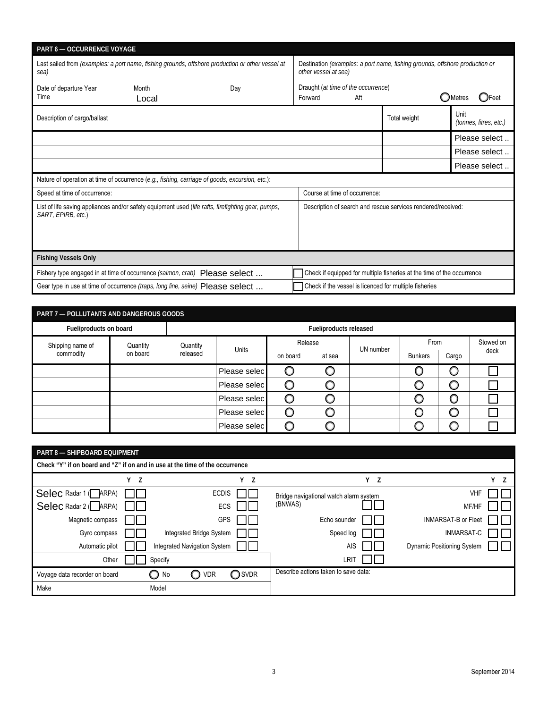| <b>PART 6-OCCURRENCE VOYAGE</b>                                                                          |                |                                                                                                    |                                                                                                     |                                                        |              |                                      |  |
|----------------------------------------------------------------------------------------------------------|----------------|----------------------------------------------------------------------------------------------------|-----------------------------------------------------------------------------------------------------|--------------------------------------------------------|--------------|--------------------------------------|--|
| Last sailed from (examples: a port name, fishing grounds, offshore production or other vessel at<br>sea) |                |                                                                                                    | Destination (examples: a port name, fishing grounds, offshore production or<br>other vessel at sea) |                                                        |              |                                      |  |
| Date of departure Year<br>Time                                                                           | Month<br>Local | Day                                                                                                | Draught (at time of the occurrence)<br>Forward                                                      | Aft                                                    |              | <b>O</b> Metres<br>$\mathbf{O}$ Feet |  |
| Description of cargo/ballast                                                                             |                |                                                                                                    |                                                                                                     |                                                        | Total weight | Unit<br>(tonnes, litres, etc.)       |  |
|                                                                                                          |                |                                                                                                    |                                                                                                     |                                                        |              | Please select                        |  |
|                                                                                                          |                |                                                                                                    |                                                                                                     |                                                        |              | Please select                        |  |
|                                                                                                          |                |                                                                                                    |                                                                                                     |                                                        |              | Please select                        |  |
|                                                                                                          |                | Nature of operation at time of occurrence $(e.q., fishing, carriage of goods, excursion, etc.):$   |                                                                                                     |                                                        |              |                                      |  |
| Speed at time of occurrence:                                                                             |                |                                                                                                    | Course at time of occurrence:                                                                       |                                                        |              |                                      |  |
| SART, EPIRB, etc.)                                                                                       |                | List of life saving appliances and/or safety equipment used (life rafts, firefighting gear, pumps, | Description of search and rescue services rendered/received:                                        |                                                        |              |                                      |  |
| <b>Fishing Vessels Only</b>                                                                              |                |                                                                                                    |                                                                                                     |                                                        |              |                                      |  |
| Fishery type engaged in at time of occurrence (salmon, crab) Please select                               |                |                                                                                                    | Check if equipped for multiple fisheries at the time of the occurrence                              |                                                        |              |                                      |  |
| Gear type in use at time of occurrence (traps, long line, seine) Please select                           |                |                                                                                                    |                                                                                                     | Check if the vessel is licenced for multiple fisheries |              |                                      |  |

| PART 7 - POLLUTANTS AND DANGEROUS GOODS |                      |          |              |          |                        |      |                |           |      |
|-----------------------------------------|----------------------|----------|--------------|----------|------------------------|------|----------------|-----------|------|
| Fuel/products on board                  |                      |          |              |          | Fuel/products released |      |                |           |      |
| Shipping name of                        | Quantity<br>Quantity |          | Release      |          | UN number              | From |                | Stowed on |      |
| commodity                               | on board             | released | Units        | on board | at sea                 |      | <b>Bunkers</b> | Cargo     | deck |
|                                         |                      |          | Please selec |          |                        |      |                |           |      |
|                                         |                      |          | Please selec |          |                        |      |                |           |      |
|                                         |                      |          | Please selec |          |                        |      |                |           |      |
|                                         |                      |          | Please selec |          |                        |      |                |           |      |
|                                         |                      |          | Please selec |          |                        |      |                |           |      |

| <b>PART 8 - SHIPBOARD EQUIPMENT</b>    |                                                                              |                              |            |                                        |                                   |     |  |  |  |
|----------------------------------------|------------------------------------------------------------------------------|------------------------------|------------|----------------------------------------|-----------------------------------|-----|--|--|--|
|                                        | Check "Y" if on board and "Z" if on and in use at the time of the occurrence |                              |            |                                        |                                   |     |  |  |  |
|                                        | Y Z                                                                          |                              | Y Z        | Y Z                                    |                                   | Y Z |  |  |  |
| Selec Radar 1 (ARPA)                   |                                                                              | <b>ECDIS</b>                 |            | Bridge navigational watch alarm system | VHF                               |     |  |  |  |
| $\text{Select}$ Radar 2 ( $\Box$ ARPA) |                                                                              |                              | <b>ECS</b> | (BNWAS)                                | MF/HF                             |     |  |  |  |
| Magnetic compass                       |                                                                              | <b>GPS</b>                   |            | Echo sounder                           | <b>INMARSAT-B or Fleet</b>        |     |  |  |  |
| Gyro compass                           |                                                                              | Integrated Bridge System     |            | Speed log                              | <b>INMARSAT-C</b>                 |     |  |  |  |
| Automatic pilot                        |                                                                              | Integrated Navigation System |            | <b>AIS</b>                             | <b>Dynamic Positioning System</b> |     |  |  |  |
| Other                                  |                                                                              | Specify                      |            | LRIT                                   |                                   |     |  |  |  |
| Voyage data recorder on board          |                                                                              | No<br><b>VDR</b><br>∩        | ◯SVDR      | Describe actions taken to save data:   |                                   |     |  |  |  |
| Make                                   |                                                                              | Model                        |            |                                        |                                   |     |  |  |  |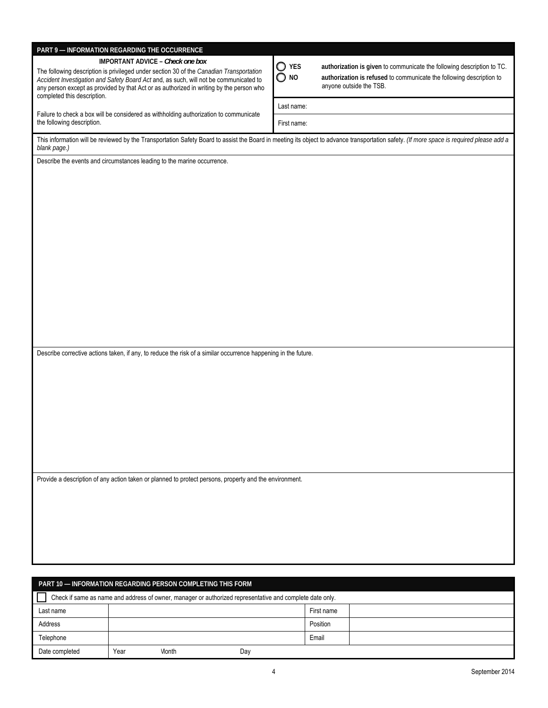|                                                             | PART 9 - INFORMATION REGARDING THE OCCURRENCE                                                                                                                                            |                |            |                                                                        |  |
|-------------------------------------------------------------|------------------------------------------------------------------------------------------------------------------------------------------------------------------------------------------|----------------|------------|------------------------------------------------------------------------|--|
|                                                             | <b>IMPORTANT ADVICE - Check one box</b>                                                                                                                                                  | $\bigcirc$ yes |            | authorization is given to communicate the following description to TC. |  |
|                                                             | The following description is privileged under section 30 of the Canadian Transportation<br>Accident Investigation and Safety Board Act and, as such, will not be communicated to         |                |            | authorization is refused to communicate the following description to   |  |
|                                                             | any person except as provided by that Act or as authorized in writing by the person who                                                                                                  | $\bigcirc$ no  |            | anyone outside the TSB.                                                |  |
| completed this description.                                 |                                                                                                                                                                                          |                |            |                                                                        |  |
|                                                             |                                                                                                                                                                                          | Last name:     |            |                                                                        |  |
|                                                             | Failure to check a box will be considered as withholding authorization to communicate                                                                                                    |                |            |                                                                        |  |
| the following description.                                  |                                                                                                                                                                                          | First name:    |            |                                                                        |  |
|                                                             |                                                                                                                                                                                          |                |            |                                                                        |  |
|                                                             | This information will be reviewed by the Transportation Safety Board to assist the Board in meeting its object to advance transportation safety. (If more space is required please add a |                |            |                                                                        |  |
| blank page.)                                                |                                                                                                                                                                                          |                |            |                                                                        |  |
|                                                             | Describe the events and circumstances leading to the marine occurrence.                                                                                                                  |                |            |                                                                        |  |
|                                                             |                                                                                                                                                                                          |                |            |                                                                        |  |
|                                                             |                                                                                                                                                                                          |                |            |                                                                        |  |
|                                                             |                                                                                                                                                                                          |                |            |                                                                        |  |
|                                                             |                                                                                                                                                                                          |                |            |                                                                        |  |
|                                                             |                                                                                                                                                                                          |                |            |                                                                        |  |
|                                                             |                                                                                                                                                                                          |                |            |                                                                        |  |
|                                                             |                                                                                                                                                                                          |                |            |                                                                        |  |
|                                                             |                                                                                                                                                                                          |                |            |                                                                        |  |
|                                                             |                                                                                                                                                                                          |                |            |                                                                        |  |
|                                                             |                                                                                                                                                                                          |                |            |                                                                        |  |
|                                                             |                                                                                                                                                                                          |                |            |                                                                        |  |
|                                                             |                                                                                                                                                                                          |                |            |                                                                        |  |
|                                                             |                                                                                                                                                                                          |                |            |                                                                        |  |
|                                                             |                                                                                                                                                                                          |                |            |                                                                        |  |
|                                                             |                                                                                                                                                                                          |                |            |                                                                        |  |
|                                                             |                                                                                                                                                                                          |                |            |                                                                        |  |
|                                                             |                                                                                                                                                                                          |                |            |                                                                        |  |
|                                                             |                                                                                                                                                                                          |                |            |                                                                        |  |
|                                                             |                                                                                                                                                                                          |                |            |                                                                        |  |
|                                                             |                                                                                                                                                                                          |                |            |                                                                        |  |
|                                                             | Describe corrective actions taken, if any, to reduce the risk of a similar occurrence happening in the future.                                                                           |                |            |                                                                        |  |
|                                                             |                                                                                                                                                                                          |                |            |                                                                        |  |
|                                                             |                                                                                                                                                                                          |                |            |                                                                        |  |
|                                                             |                                                                                                                                                                                          |                |            |                                                                        |  |
|                                                             |                                                                                                                                                                                          |                |            |                                                                        |  |
|                                                             |                                                                                                                                                                                          |                |            |                                                                        |  |
|                                                             |                                                                                                                                                                                          |                |            |                                                                        |  |
|                                                             |                                                                                                                                                                                          |                |            |                                                                        |  |
|                                                             |                                                                                                                                                                                          |                |            |                                                                        |  |
|                                                             |                                                                                                                                                                                          |                |            |                                                                        |  |
|                                                             |                                                                                                                                                                                          |                |            |                                                                        |  |
|                                                             |                                                                                                                                                                                          |                |            |                                                                        |  |
|                                                             |                                                                                                                                                                                          |                |            |                                                                        |  |
|                                                             | Provide a description of any action taken or planned to protect persons, property and the environment.                                                                                   |                |            |                                                                        |  |
|                                                             |                                                                                                                                                                                          |                |            |                                                                        |  |
|                                                             |                                                                                                                                                                                          |                |            |                                                                        |  |
|                                                             |                                                                                                                                                                                          |                |            |                                                                        |  |
|                                                             |                                                                                                                                                                                          |                |            |                                                                        |  |
|                                                             |                                                                                                                                                                                          |                |            |                                                                        |  |
|                                                             |                                                                                                                                                                                          |                |            |                                                                        |  |
|                                                             |                                                                                                                                                                                          |                |            |                                                                        |  |
|                                                             |                                                                                                                                                                                          |                |            |                                                                        |  |
|                                                             |                                                                                                                                                                                          |                |            |                                                                        |  |
|                                                             |                                                                                                                                                                                          |                |            |                                                                        |  |
|                                                             |                                                                                                                                                                                          |                |            |                                                                        |  |
| PART 10 - INFORMATION REGARDING PERSON COMPLETING THIS FORM |                                                                                                                                                                                          |                |            |                                                                        |  |
|                                                             | Check if same as name and address of owner, manager or authorized representative and complete date only.                                                                                 |                |            |                                                                        |  |
| Last name                                                   |                                                                                                                                                                                          |                | First name |                                                                        |  |
|                                                             |                                                                                                                                                                                          |                |            |                                                                        |  |
| Address                                                     |                                                                                                                                                                                          |                | Position   |                                                                        |  |

Telephone **Email** 

Date completed **Parameter Accord Parameter Control** Year Month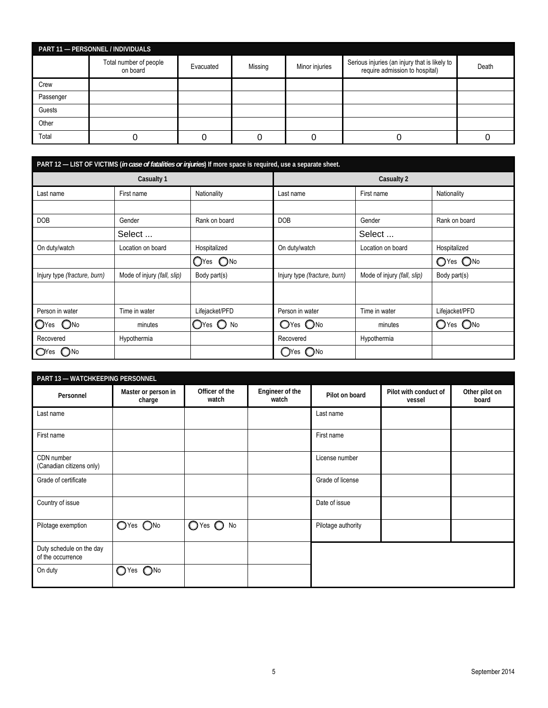| PART 11 - PERSONNEL / INDIVIDUALS |                                    |           |         |                |                                                                                 |       |  |  |
|-----------------------------------|------------------------------------|-----------|---------|----------------|---------------------------------------------------------------------------------|-------|--|--|
|                                   | Total number of people<br>on board | Evacuated | Missing | Minor injuries | Serious injuries (an injury that is likely to<br>require admission to hospital) | Death |  |  |
| Crew                              |                                    |           |         |                |                                                                                 |       |  |  |
| Passenger                         |                                    |           |         |                |                                                                                 |       |  |  |
| Guests                            |                                    |           |         |                |                                                                                 |       |  |  |
| Other                             |                                    |           |         |                |                                                                                 |       |  |  |
| Total                             |                                    |           |         |                |                                                                                 |       |  |  |

| PART 12 - LIST OF VICTIMS (in case of fatalities or injuries) If more space is required, use a separate sheet. |                             |                          |                              |                             |                |
|----------------------------------------------------------------------------------------------------------------|-----------------------------|--------------------------|------------------------------|-----------------------------|----------------|
| Casualty 1                                                                                                     |                             | Casualty 2               |                              |                             |                |
| Last name                                                                                                      | First name                  | Nationality              | Last name                    | Nationality<br>First name   |                |
|                                                                                                                |                             |                          |                              |                             |                |
| <b>DOB</b>                                                                                                     | Gender                      | Rank on board            | <b>DOB</b>                   | Gender                      | Rank on board  |
|                                                                                                                | Select                      |                          |                              | Select                      |                |
| On duty/watch                                                                                                  | Location on board           | Hospitalized             | On duty/watch                | Location on board           | Hospitalized   |
|                                                                                                                |                             | O <sub>No</sub><br>◯Yes  |                              |                             | OYes ONo       |
| Injury type (fracture, burn)                                                                                   | Mode of injury (fall, slip) | Body part(s)             | Injury type (fracture, burn) | Mode of injury (fall, slip) | Body part(s)   |
|                                                                                                                |                             |                          |                              |                             |                |
| Person in water                                                                                                | Time in water               | Lifejacket/PFD           | Person in water              | Time in water               | Lifejacket/PFD |
| $\mathbb{O}$ Yes<br>$\bigcirc$ No                                                                              | minutes                     | O <sup>Yes</sup> O<br>No | OYes ONo                     | minutes                     | $OYes$ $O$ No  |
| Recovered                                                                                                      | Hypothermia                 |                          | Recovered                    | Hypothermia                 |                |
| 7No<br>$\mathbf{O}$ Yes                                                                                        |                             |                          | ( )No<br>()Yes               |                             |                |

| <b>PART 13 - WATCHKEEPING PERSONNEL</b>       |                               |                         |                          |                    |                                 |                         |
|-----------------------------------------------|-------------------------------|-------------------------|--------------------------|--------------------|---------------------------------|-------------------------|
| Personnel                                     | Master or person in<br>charge | Officer of the<br>watch | Engineer of the<br>watch | Pilot on board     | Pilot with conduct of<br>vessel | Other pilot on<br>board |
| Last name                                     |                               |                         |                          | Last name          |                                 |                         |
| First name                                    |                               |                         |                          | First name         |                                 |                         |
| CDN number<br>(Canadian citizens only)        |                               |                         |                          | License number     |                                 |                         |
| Grade of certificate                          |                               |                         |                          | Grade of license   |                                 |                         |
| Country of issue                              |                               |                         |                          | Date of issue      |                                 |                         |
| Pilotage exemption                            | $OYes$ $ONo$                  | $O$ Yes $O$ No          |                          | Pilotage authority |                                 |                         |
| Duty schedule on the day<br>of the occurrence |                               |                         |                          |                    |                                 |                         |
| On duty                                       | $\bigcirc$ Yes $\bigcirc$ No  |                         |                          |                    |                                 |                         |